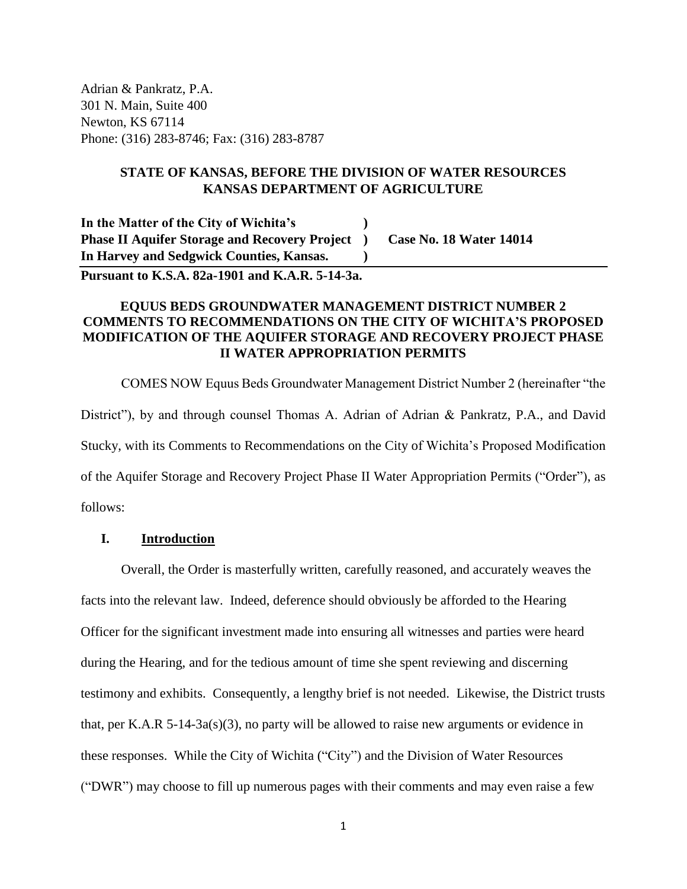Adrian & Pankratz, P.A. 301 N. Main, Suite 400 Newton, KS 67114 Phone: (316) 283-8746; Fax: (316) 283-8787

# **STATE OF KANSAS, BEFORE THE DIVISION OF WATER RESOURCES KANSAS DEPARTMENT OF AGRICULTURE**

**In the Matter of the City of Wichita's ) Phase II Aquifer Storage and Recovery Project ) Case No. 18 Water 14014 In Harvey and Sedgwick Counties, Kansas. )**

**Pursuant to K.S.A. 82a-1901 and K.A.R. 5-14-3a.**

# **EQUUS BEDS GROUNDWATER MANAGEMENT DISTRICT NUMBER 2 COMMENTS TO RECOMMENDATIONS ON THE CITY OF WICHITA'S PROPOSED MODIFICATION OF THE AQUIFER STORAGE AND RECOVERY PROJECT PHASE II WATER APPROPRIATION PERMITS**

COMES NOW Equus Beds Groundwater Management District Number 2 (hereinafter "the District"), by and through counsel Thomas A. Adrian of Adrian & Pankratz, P.A., and David Stucky, with its Comments to Recommendations on the City of Wichita's Proposed Modification of the Aquifer Storage and Recovery Project Phase II Water Appropriation Permits ("Order"), as follows:

# **I. Introduction**

Overall, the Order is masterfully written, carefully reasoned, and accurately weaves the facts into the relevant law. Indeed, deference should obviously be afforded to the Hearing Officer for the significant investment made into ensuring all witnesses and parties were heard during the Hearing, and for the tedious amount of time she spent reviewing and discerning testimony and exhibits. Consequently, a lengthy brief is not needed. Likewise, the District trusts that, per K.A.R  $5-14-3a(s)(3)$ , no party will be allowed to raise new arguments or evidence in these responses. While the City of Wichita ("City") and the Division of Water Resources ("DWR") may choose to fill up numerous pages with their comments and may even raise a few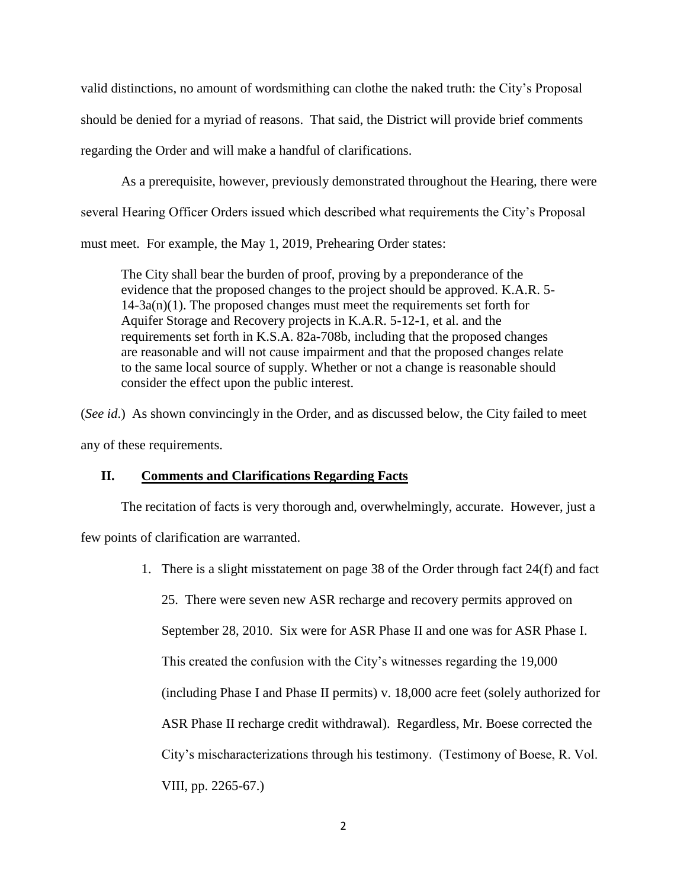valid distinctions, no amount of wordsmithing can clothe the naked truth: the City's Proposal should be denied for a myriad of reasons. That said, the District will provide brief comments regarding the Order and will make a handful of clarifications.

As a prerequisite, however, previously demonstrated throughout the Hearing, there were several Hearing Officer Orders issued which described what requirements the City's Proposal must meet. For example, the May 1, 2019, Prehearing Order states:

The City shall bear the burden of proof, proving by a preponderance of the evidence that the proposed changes to the project should be approved. K.A.R. 5-  $14-3a(n)(1)$ . The proposed changes must meet the requirements set forth for Aquifer Storage and Recovery projects in K.A.R. 5-12-1, et al. and the requirements set forth in K.S.A. 82a-708b, including that the proposed changes are reasonable and will not cause impairment and that the proposed changes relate to the same local source of supply. Whether or not a change is reasonable should consider the effect upon the public interest.

(*See id.*) As shown convincingly in the Order, and as discussed below, the City failed to meet any of these requirements.

# **II. Comments and Clarifications Regarding Facts**

The recitation of facts is very thorough and, overwhelmingly, accurate. However, just a few points of clarification are warranted.

> 1. There is a slight misstatement on page 38 of the Order through fact 24(f) and fact 25. There were seven new ASR recharge and recovery permits approved on September 28, 2010. Six were for ASR Phase II and one was for ASR Phase I. This created the confusion with the City's witnesses regarding the 19,000 (including Phase I and Phase II permits) v. 18,000 acre feet (solely authorized for ASR Phase II recharge credit withdrawal). Regardless, Mr. Boese corrected the City's mischaracterizations through his testimony. (Testimony of Boese, R. Vol. VIII, pp. 2265-67.)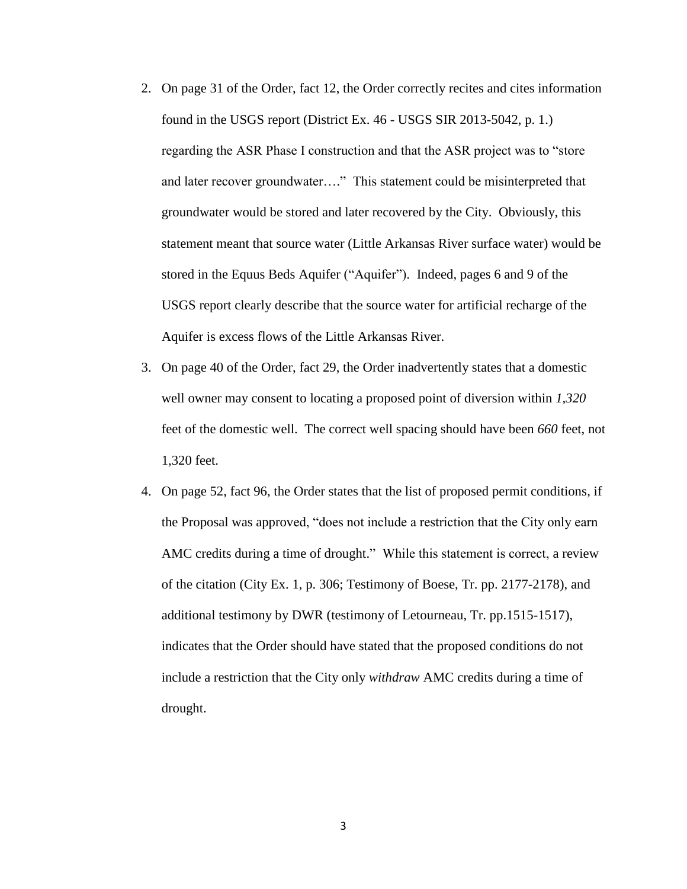- 2. On page 31 of the Order, fact 12, the Order correctly recites and cites information found in the USGS report (District Ex. 46 - USGS SIR 2013-5042, p. 1.) regarding the ASR Phase I construction and that the ASR project was to "store and later recover groundwater…." This statement could be misinterpreted that groundwater would be stored and later recovered by the City. Obviously, this statement meant that source water (Little Arkansas River surface water) would be stored in the Equus Beds Aquifer ("Aquifer"). Indeed, pages 6 and 9 of the USGS report clearly describe that the source water for artificial recharge of the Aquifer is excess flows of the Little Arkansas River.
- 3. On page 40 of the Order, fact 29, the Order inadvertently states that a domestic well owner may consent to locating a proposed point of diversion within *1,320* feet of the domestic well. The correct well spacing should have been *660* feet, not 1,320 feet.
- 4. On page 52, fact 96, the Order states that the list of proposed permit conditions, if the Proposal was approved, "does not include a restriction that the City only earn AMC credits during a time of drought." While this statement is correct, a review of the citation (City Ex. 1, p. 306; Testimony of Boese, Tr. pp. 2177-2178), and additional testimony by DWR (testimony of Letourneau, Tr. pp.1515-1517), indicates that the Order should have stated that the proposed conditions do not include a restriction that the City only *withdraw* AMC credits during a time of drought.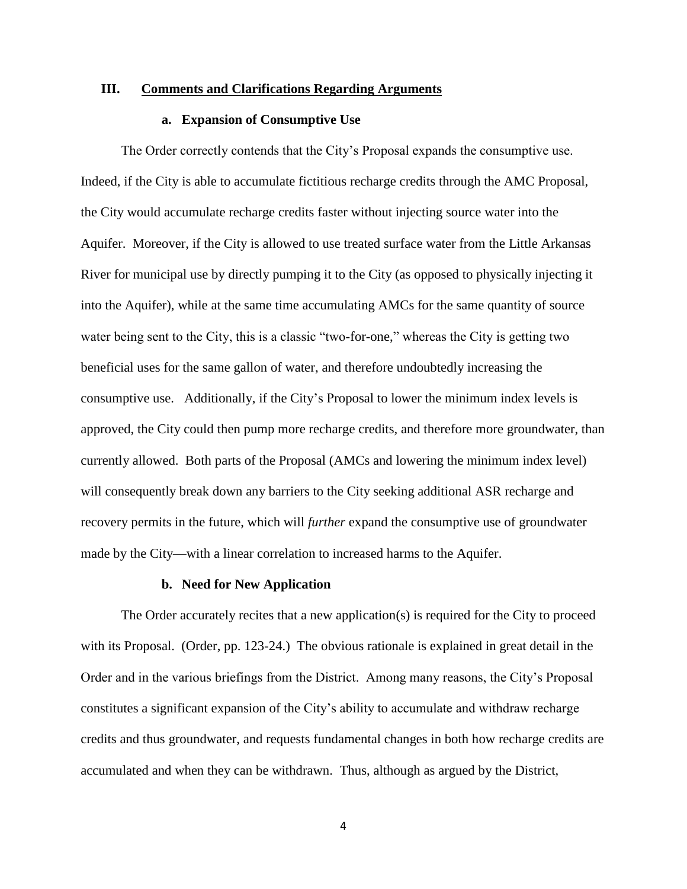### **III. Comments and Clarifications Regarding Arguments**

# **a. Expansion of Consumptive Use**

The Order correctly contends that the City's Proposal expands the consumptive use. Indeed, if the City is able to accumulate fictitious recharge credits through the AMC Proposal, the City would accumulate recharge credits faster without injecting source water into the Aquifer. Moreover, if the City is allowed to use treated surface water from the Little Arkansas River for municipal use by directly pumping it to the City (as opposed to physically injecting it into the Aquifer), while at the same time accumulating AMCs for the same quantity of source water being sent to the City, this is a classic "two-for-one," whereas the City is getting two beneficial uses for the same gallon of water, and therefore undoubtedly increasing the consumptive use. Additionally, if the City's Proposal to lower the minimum index levels is approved, the City could then pump more recharge credits, and therefore more groundwater, than currently allowed. Both parts of the Proposal (AMCs and lowering the minimum index level) will consequently break down any barriers to the City seeking additional ASR recharge and recovery permits in the future, which will *further* expand the consumptive use of groundwater made by the City—with a linear correlation to increased harms to the Aquifer.

### **b. Need for New Application**

The Order accurately recites that a new application(s) is required for the City to proceed with its Proposal. (Order, pp. 123-24.) The obvious rationale is explained in great detail in the Order and in the various briefings from the District. Among many reasons, the City's Proposal constitutes a significant expansion of the City's ability to accumulate and withdraw recharge credits and thus groundwater, and requests fundamental changes in both how recharge credits are accumulated and when they can be withdrawn. Thus, although as argued by the District,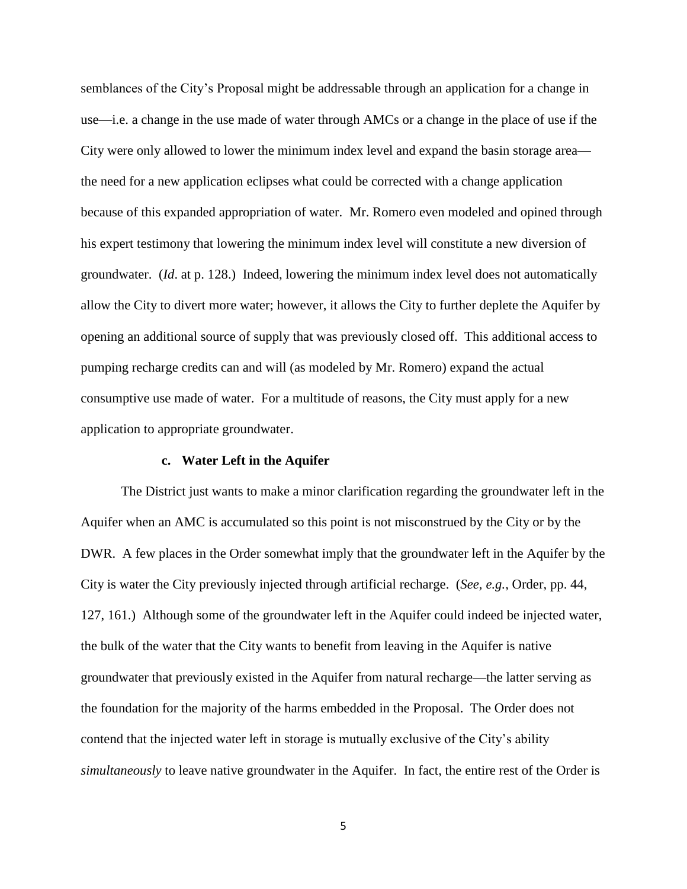semblances of the City's Proposal might be addressable through an application for a change in use—i.e. a change in the use made of water through AMCs or a change in the place of use if the City were only allowed to lower the minimum index level and expand the basin storage area the need for a new application eclipses what could be corrected with a change application because of this expanded appropriation of water. Mr. Romero even modeled and opined through his expert testimony that lowering the minimum index level will constitute a new diversion of groundwater. (*Id*. at p. 128.) Indeed, lowering the minimum index level does not automatically allow the City to divert more water; however, it allows the City to further deplete the Aquifer by opening an additional source of supply that was previously closed off. This additional access to pumping recharge credits can and will (as modeled by Mr. Romero) expand the actual consumptive use made of water. For a multitude of reasons, the City must apply for a new application to appropriate groundwater.

### **c. Water Left in the Aquifer**

The District just wants to make a minor clarification regarding the groundwater left in the Aquifer when an AMC is accumulated so this point is not misconstrued by the City or by the DWR. A few places in the Order somewhat imply that the groundwater left in the Aquifer by the City is water the City previously injected through artificial recharge. (*See, e.g.*, Order, pp. 44, 127, 161.) Although some of the groundwater left in the Aquifer could indeed be injected water, the bulk of the water that the City wants to benefit from leaving in the Aquifer is native groundwater that previously existed in the Aquifer from natural recharge—the latter serving as the foundation for the majority of the harms embedded in the Proposal. The Order does not contend that the injected water left in storage is mutually exclusive of the City's ability *simultaneously* to leave native groundwater in the Aquifer. In fact, the entire rest of the Order is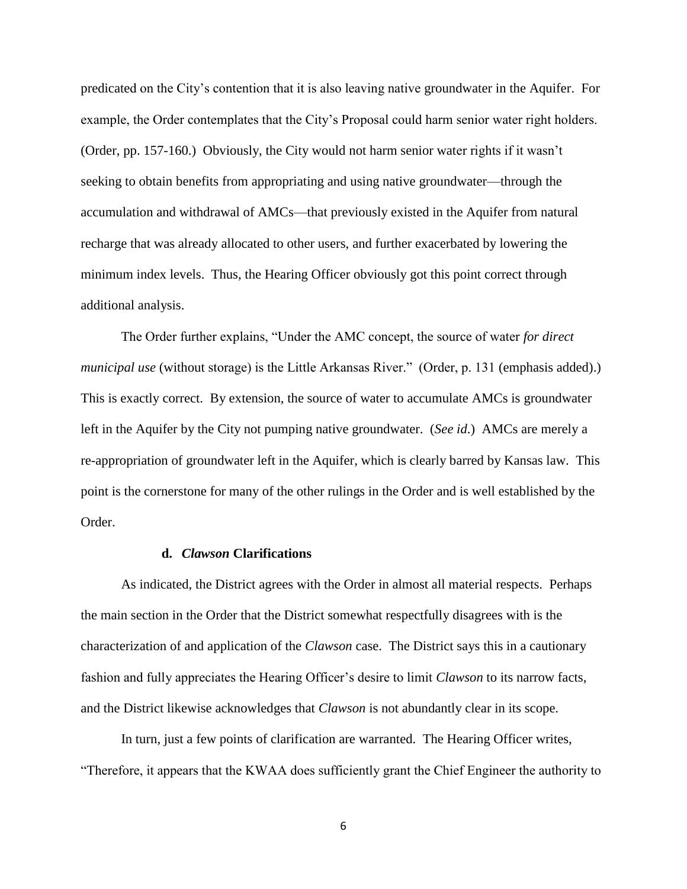predicated on the City's contention that it is also leaving native groundwater in the Aquifer. For example, the Order contemplates that the City's Proposal could harm senior water right holders. (Order, pp. 157-160.) Obviously, the City would not harm senior water rights if it wasn't seeking to obtain benefits from appropriating and using native groundwater—through the accumulation and withdrawal of AMCs—that previously existed in the Aquifer from natural recharge that was already allocated to other users, and further exacerbated by lowering the minimum index levels. Thus, the Hearing Officer obviously got this point correct through additional analysis.

The Order further explains, "Under the AMC concept, the source of water *for direct municipal use* (without storage) is the Little Arkansas River." (Order, p. 131 (emphasis added).) This is exactly correct. By extension, the source of water to accumulate AMCs is groundwater left in the Aquifer by the City not pumping native groundwater. (*See id*.) AMCs are merely a re-appropriation of groundwater left in the Aquifer, which is clearly barred by Kansas law. This point is the cornerstone for many of the other rulings in the Order and is well established by the Order.

# **d.** *Clawson* **Clarifications**

As indicated, the District agrees with the Order in almost all material respects. Perhaps the main section in the Order that the District somewhat respectfully disagrees with is the characterization of and application of the *Clawson* case. The District says this in a cautionary fashion and fully appreciates the Hearing Officer's desire to limit *Clawson* to its narrow facts, and the District likewise acknowledges that *Clawson* is not abundantly clear in its scope.

In turn, just a few points of clarification are warranted. The Hearing Officer writes, "Therefore, it appears that the KWAA does sufficiently grant the Chief Engineer the authority to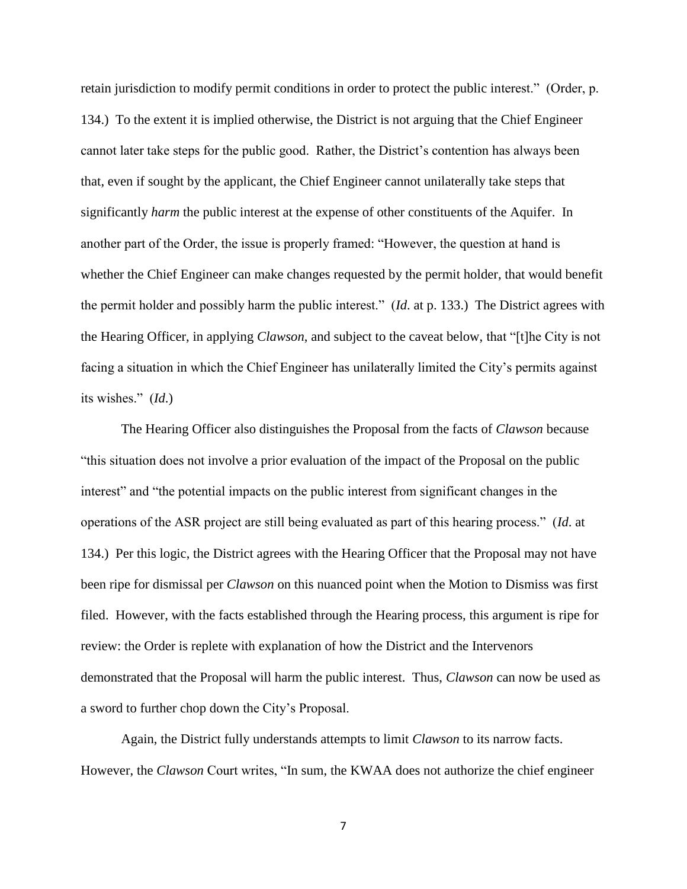retain jurisdiction to modify permit conditions in order to protect the public interest." (Order, p. 134.) To the extent it is implied otherwise, the District is not arguing that the Chief Engineer cannot later take steps for the public good. Rather, the District's contention has always been that, even if sought by the applicant, the Chief Engineer cannot unilaterally take steps that significantly *harm* the public interest at the expense of other constituents of the Aquifer. In another part of the Order, the issue is properly framed: "However, the question at hand is whether the Chief Engineer can make changes requested by the permit holder, that would benefit the permit holder and possibly harm the public interest." (*Id*. at p. 133.) The District agrees with the Hearing Officer, in applying *Clawson*, and subject to the caveat below, that "[t]he City is not facing a situation in which the Chief Engineer has unilaterally limited the City's permits against its wishes." (*Id*.)

The Hearing Officer also distinguishes the Proposal from the facts of *Clawson* because "this situation does not involve a prior evaluation of the impact of the Proposal on the public interest" and "the potential impacts on the public interest from significant changes in the operations of the ASR project are still being evaluated as part of this hearing process." (*Id*. at 134.) Per this logic, the District agrees with the Hearing Officer that the Proposal may not have been ripe for dismissal per *Clawson* on this nuanced point when the Motion to Dismiss was first filed. However, with the facts established through the Hearing process, this argument is ripe for review: the Order is replete with explanation of how the District and the Intervenors demonstrated that the Proposal will harm the public interest. Thus, *Clawson* can now be used as a sword to further chop down the City's Proposal.

Again, the District fully understands attempts to limit *Clawson* to its narrow facts. However, the *Clawson* Court writes, "In sum, the KWAA does not authorize the chief engineer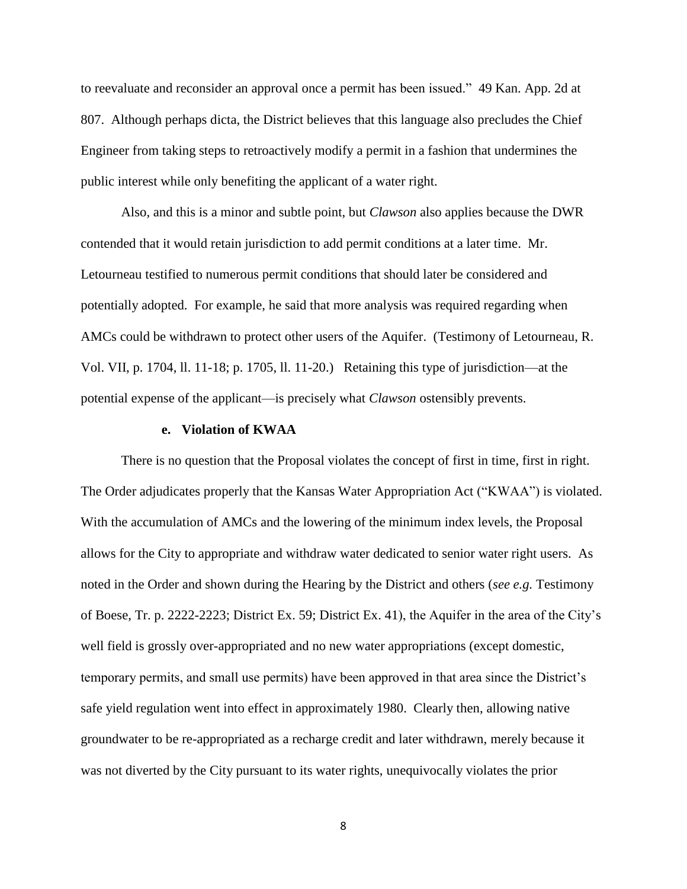to reevaluate and reconsider an approval once a permit has been issued." 49 Kan. App. 2d at 807. Although perhaps dicta, the District believes that this language also precludes the Chief Engineer from taking steps to retroactively modify a permit in a fashion that undermines the public interest while only benefiting the applicant of a water right.

Also, and this is a minor and subtle point, but *Clawson* also applies because the DWR contended that it would retain jurisdiction to add permit conditions at a later time. Mr. Letourneau testified to numerous permit conditions that should later be considered and potentially adopted. For example, he said that more analysis was required regarding when AMCs could be withdrawn to protect other users of the Aquifer. (Testimony of Letourneau, R. Vol. VII, p. 1704, ll. 11-18; p. 1705, ll. 11-20.) Retaining this type of jurisdiction—at the potential expense of the applicant—is precisely what *Clawson* ostensibly prevents.

### **e. Violation of KWAA**

There is no question that the Proposal violates the concept of first in time, first in right. The Order adjudicates properly that the Kansas Water Appropriation Act ("KWAA") is violated. With the accumulation of AMCs and the lowering of the minimum index levels, the Proposal allows for the City to appropriate and withdraw water dedicated to senior water right users. As noted in the Order and shown during the Hearing by the District and others (*see e.g.* Testimony of Boese, Tr. p. 2222-2223; District Ex. 59; District Ex. 41), the Aquifer in the area of the City's well field is grossly over-appropriated and no new water appropriations (except domestic, temporary permits, and small use permits) have been approved in that area since the District's safe yield regulation went into effect in approximately 1980. Clearly then, allowing native groundwater to be re-appropriated as a recharge credit and later withdrawn, merely because it was not diverted by the City pursuant to its water rights, unequivocally violates the prior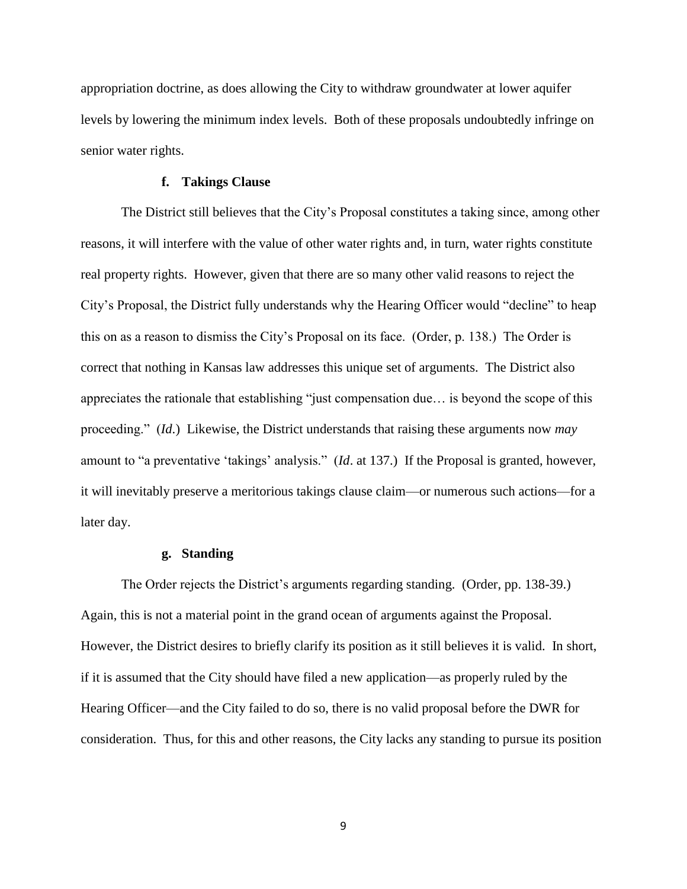appropriation doctrine, as does allowing the City to withdraw groundwater at lower aquifer levels by lowering the minimum index levels. Both of these proposals undoubtedly infringe on senior water rights.

# **f. Takings Clause**

The District still believes that the City's Proposal constitutes a taking since, among other reasons, it will interfere with the value of other water rights and, in turn, water rights constitute real property rights. However, given that there are so many other valid reasons to reject the City's Proposal, the District fully understands why the Hearing Officer would "decline" to heap this on as a reason to dismiss the City's Proposal on its face. (Order, p. 138.) The Order is correct that nothing in Kansas law addresses this unique set of arguments. The District also appreciates the rationale that establishing "just compensation due… is beyond the scope of this proceeding." (*Id*.) Likewise, the District understands that raising these arguments now *may* amount to "a preventative 'takings' analysis." (*Id*. at 137.) If the Proposal is granted, however, it will inevitably preserve a meritorious takings clause claim—or numerous such actions—for a later day.

# **g. Standing**

The Order rejects the District's arguments regarding standing. (Order, pp. 138-39.) Again, this is not a material point in the grand ocean of arguments against the Proposal. However, the District desires to briefly clarify its position as it still believes it is valid. In short, if it is assumed that the City should have filed a new application—as properly ruled by the Hearing Officer—and the City failed to do so, there is no valid proposal before the DWR for consideration. Thus, for this and other reasons, the City lacks any standing to pursue its position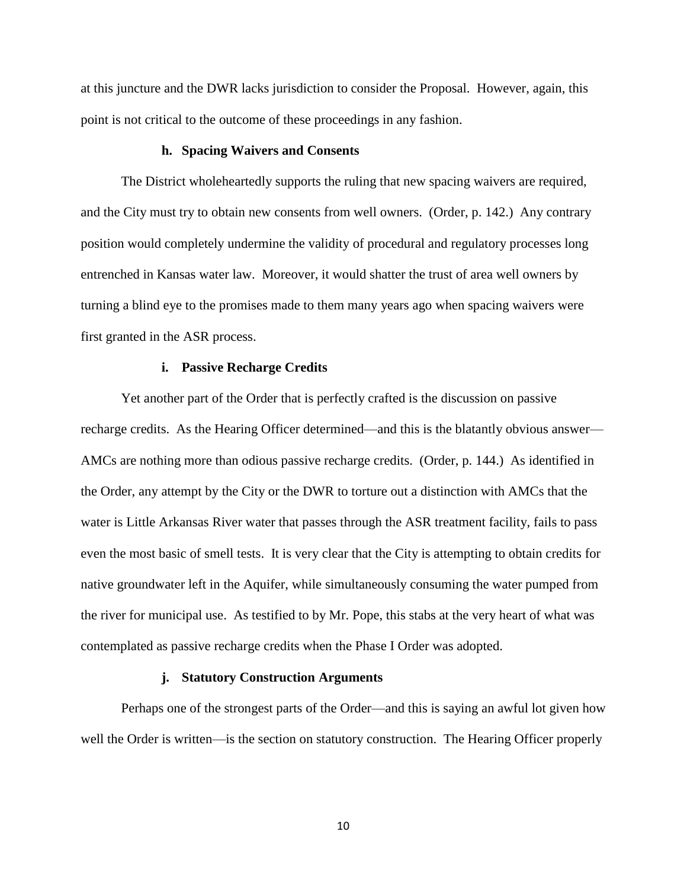at this juncture and the DWR lacks jurisdiction to consider the Proposal. However, again, this point is not critical to the outcome of these proceedings in any fashion.

### **h. Spacing Waivers and Consents**

The District wholeheartedly supports the ruling that new spacing waivers are required, and the City must try to obtain new consents from well owners. (Order, p. 142.) Any contrary position would completely undermine the validity of procedural and regulatory processes long entrenched in Kansas water law. Moreover, it would shatter the trust of area well owners by turning a blind eye to the promises made to them many years ago when spacing waivers were first granted in the ASR process.

## **i. Passive Recharge Credits**

Yet another part of the Order that is perfectly crafted is the discussion on passive recharge credits. As the Hearing Officer determined—and this is the blatantly obvious answer— AMCs are nothing more than odious passive recharge credits. (Order, p. 144.) As identified in the Order, any attempt by the City or the DWR to torture out a distinction with AMCs that the water is Little Arkansas River water that passes through the ASR treatment facility, fails to pass even the most basic of smell tests. It is very clear that the City is attempting to obtain credits for native groundwater left in the Aquifer, while simultaneously consuming the water pumped from the river for municipal use. As testified to by Mr. Pope, this stabs at the very heart of what was contemplated as passive recharge credits when the Phase I Order was adopted.

#### **j. Statutory Construction Arguments**

Perhaps one of the strongest parts of the Order—and this is saying an awful lot given how well the Order is written—is the section on statutory construction. The Hearing Officer properly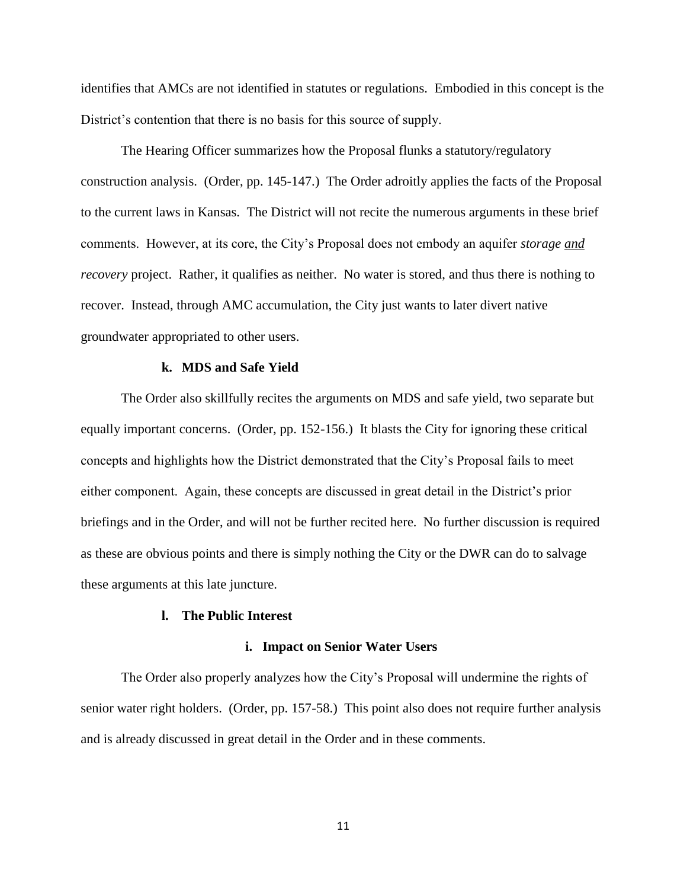identifies that AMCs are not identified in statutes or regulations. Embodied in this concept is the District's contention that there is no basis for this source of supply.

The Hearing Officer summarizes how the Proposal flunks a statutory/regulatory construction analysis. (Order, pp. 145-147.) The Order adroitly applies the facts of the Proposal to the current laws in Kansas. The District will not recite the numerous arguments in these brief comments. However, at its core, the City's Proposal does not embody an aquifer *storage and recovery* project. Rather, it qualifies as neither. No water is stored, and thus there is nothing to recover. Instead, through AMC accumulation, the City just wants to later divert native groundwater appropriated to other users.

## **k. MDS and Safe Yield**

The Order also skillfully recites the arguments on MDS and safe yield, two separate but equally important concerns. (Order, pp. 152-156.) It blasts the City for ignoring these critical concepts and highlights how the District demonstrated that the City's Proposal fails to meet either component. Again, these concepts are discussed in great detail in the District's prior briefings and in the Order, and will not be further recited here. No further discussion is required as these are obvious points and there is simply nothing the City or the DWR can do to salvage these arguments at this late juncture.

# **l. The Public Interest**

#### **i. Impact on Senior Water Users**

The Order also properly analyzes how the City's Proposal will undermine the rights of senior water right holders. (Order, pp. 157-58.) This point also does not require further analysis and is already discussed in great detail in the Order and in these comments.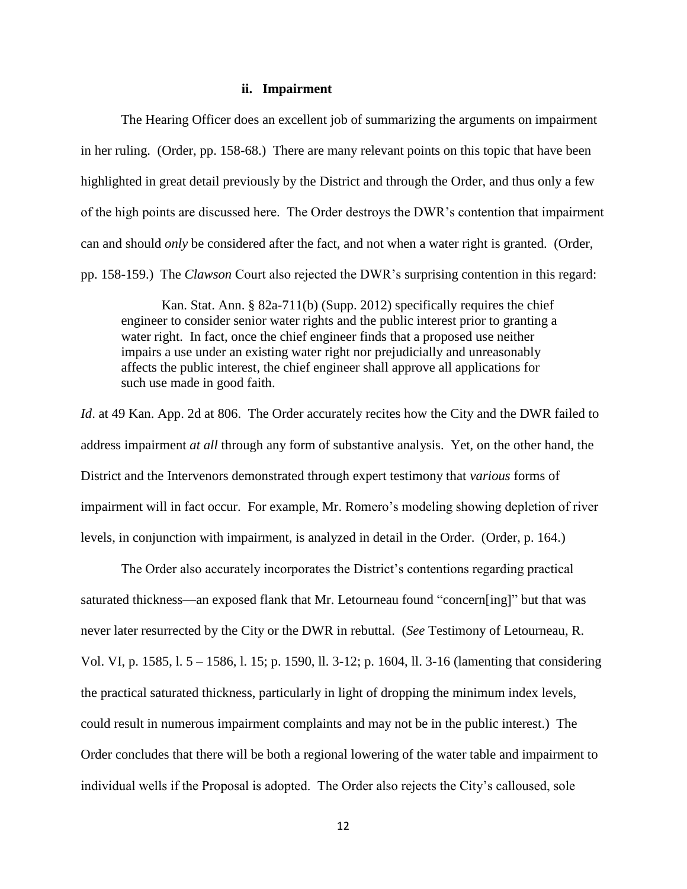### **ii. Impairment**

The Hearing Officer does an excellent job of summarizing the arguments on impairment in her ruling. (Order, pp. 158-68.) There are many relevant points on this topic that have been highlighted in great detail previously by the District and through the Order, and thus only a few of the high points are discussed here. The Order destroys the DWR's contention that impairment can and should *only* be considered after the fact, and not when a water right is granted. (Order, pp. 158-159.) The *Clawson* Court also rejected the DWR's surprising contention in this regard:

Kan. Stat. Ann. § 82a-711(b) (Supp. 2012) specifically requires the chief engineer to consider senior water rights and the public interest prior to granting a water right. In fact, once the chief engineer finds that a proposed use neither impairs a use under an existing water right nor prejudicially and unreasonably affects the public interest, the chief engineer shall approve all applications for such use made in good faith.

*Id.* at 49 Kan. App. 2d at 806. The Order accurately recites how the City and the DWR failed to address impairment *at all* through any form of substantive analysis. Yet, on the other hand, the District and the Intervenors demonstrated through expert testimony that *various* forms of impairment will in fact occur. For example, Mr. Romero's modeling showing depletion of river levels, in conjunction with impairment, is analyzed in detail in the Order. (Order, p. 164.)

The Order also accurately incorporates the District's contentions regarding practical saturated thickness—an exposed flank that Mr. Letourneau found "concern[ing]" but that was never later resurrected by the City or the DWR in rebuttal. (*See* Testimony of Letourneau, R. Vol. VI, p. 1585, l. 5 – 1586, l. 15; p. 1590, ll. 3-12; p. 1604, ll. 3-16 (lamenting that considering the practical saturated thickness, particularly in light of dropping the minimum index levels, could result in numerous impairment complaints and may not be in the public interest.) The Order concludes that there will be both a regional lowering of the water table and impairment to individual wells if the Proposal is adopted. The Order also rejects the City's calloused, sole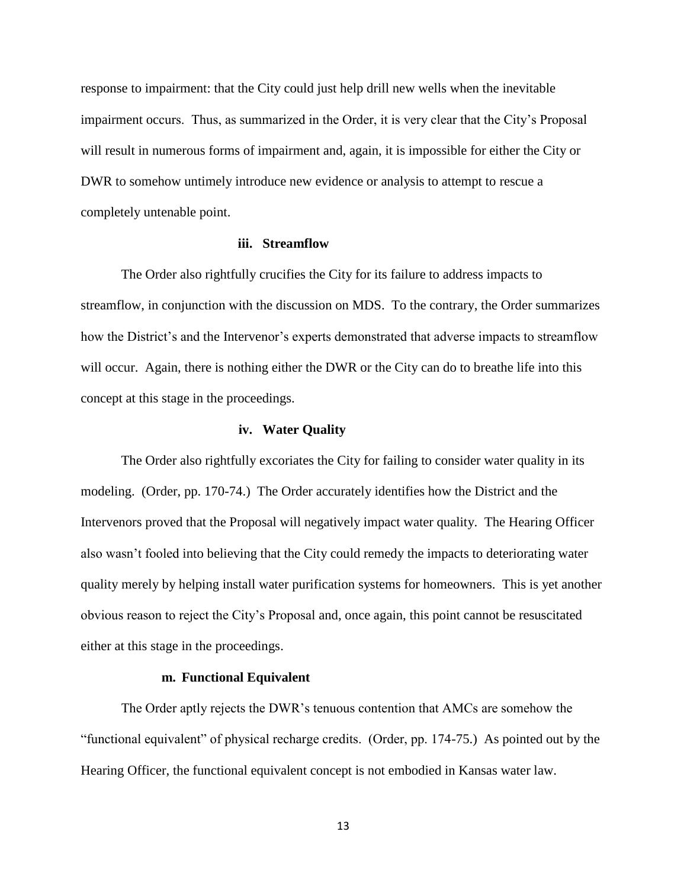response to impairment: that the City could just help drill new wells when the inevitable impairment occurs. Thus, as summarized in the Order, it is very clear that the City's Proposal will result in numerous forms of impairment and, again, it is impossible for either the City or DWR to somehow untimely introduce new evidence or analysis to attempt to rescue a completely untenable point.

### **iii. Streamflow**

The Order also rightfully crucifies the City for its failure to address impacts to streamflow, in conjunction with the discussion on MDS. To the contrary, the Order summarizes how the District's and the Intervenor's experts demonstrated that adverse impacts to streamflow will occur. Again, there is nothing either the DWR or the City can do to breathe life into this concept at this stage in the proceedings.

#### **iv. Water Quality**

The Order also rightfully excoriates the City for failing to consider water quality in its modeling. (Order, pp. 170-74.) The Order accurately identifies how the District and the Intervenors proved that the Proposal will negatively impact water quality. The Hearing Officer also wasn't fooled into believing that the City could remedy the impacts to deteriorating water quality merely by helping install water purification systems for homeowners. This is yet another obvious reason to reject the City's Proposal and, once again, this point cannot be resuscitated either at this stage in the proceedings.

# **m. Functional Equivalent**

The Order aptly rejects the DWR's tenuous contention that AMCs are somehow the "functional equivalent" of physical recharge credits. (Order, pp. 174-75.) As pointed out by the Hearing Officer, the functional equivalent concept is not embodied in Kansas water law.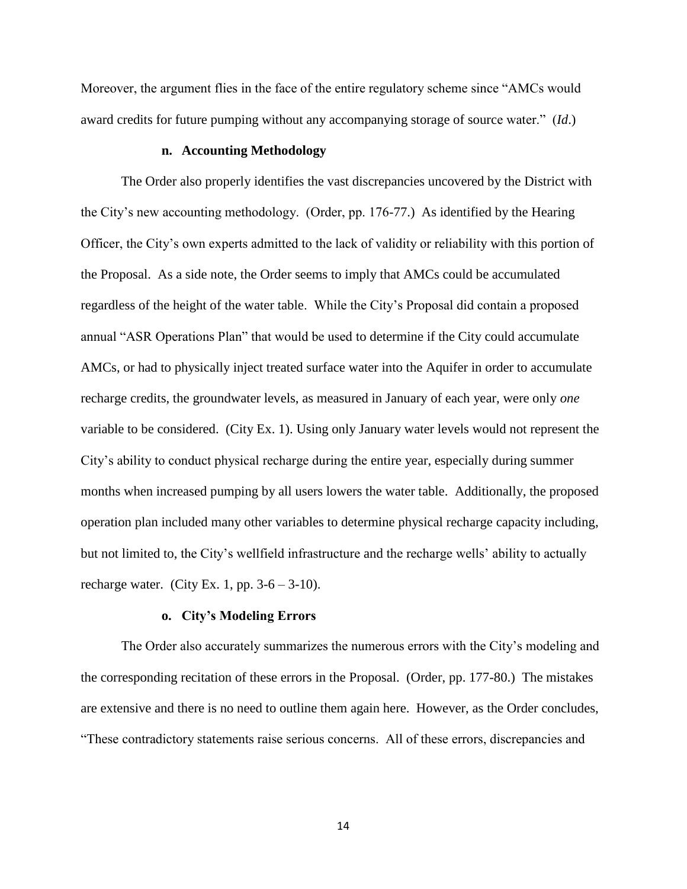Moreover, the argument flies in the face of the entire regulatory scheme since "AMCs would award credits for future pumping without any accompanying storage of source water." (*Id*.)

# **n. Accounting Methodology**

The Order also properly identifies the vast discrepancies uncovered by the District with the City's new accounting methodology. (Order, pp. 176-77.) As identified by the Hearing Officer, the City's own experts admitted to the lack of validity or reliability with this portion of the Proposal. As a side note, the Order seems to imply that AMCs could be accumulated regardless of the height of the water table. While the City's Proposal did contain a proposed annual "ASR Operations Plan" that would be used to determine if the City could accumulate AMCs, or had to physically inject treated surface water into the Aquifer in order to accumulate recharge credits, the groundwater levels, as measured in January of each year, were only *one* variable to be considered. (City Ex. 1). Using only January water levels would not represent the City's ability to conduct physical recharge during the entire year, especially during summer months when increased pumping by all users lowers the water table. Additionally, the proposed operation plan included many other variables to determine physical recharge capacity including, but not limited to, the City's wellfield infrastructure and the recharge wells' ability to actually recharge water. (City Ex. 1, pp.  $3-6-3-10$ ).

### **o. City's Modeling Errors**

The Order also accurately summarizes the numerous errors with the City's modeling and the corresponding recitation of these errors in the Proposal. (Order, pp. 177-80.) The mistakes are extensive and there is no need to outline them again here. However, as the Order concludes, "These contradictory statements raise serious concerns. All of these errors, discrepancies and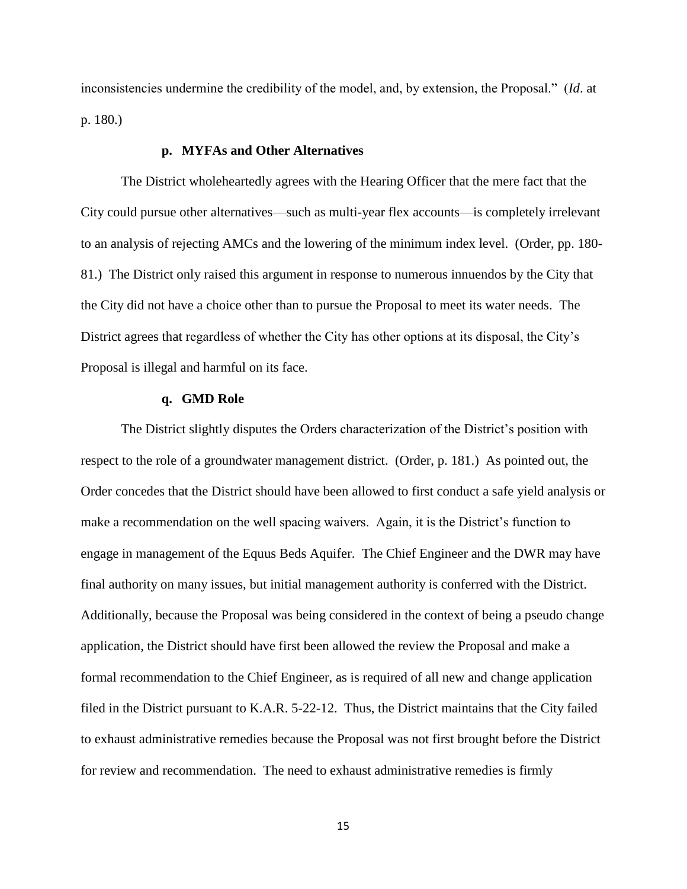inconsistencies undermine the credibility of the model, and, by extension, the Proposal." (*Id*. at p. 180.)

# **p. MYFAs and Other Alternatives**

The District wholeheartedly agrees with the Hearing Officer that the mere fact that the City could pursue other alternatives—such as multi-year flex accounts—is completely irrelevant to an analysis of rejecting AMCs and the lowering of the minimum index level. (Order, pp. 180- 81.) The District only raised this argument in response to numerous innuendos by the City that the City did not have a choice other than to pursue the Proposal to meet its water needs. The District agrees that regardless of whether the City has other options at its disposal, the City's Proposal is illegal and harmful on its face.

# **q. GMD Role**

The District slightly disputes the Orders characterization of the District's position with respect to the role of a groundwater management district. (Order, p. 181.) As pointed out, the Order concedes that the District should have been allowed to first conduct a safe yield analysis or make a recommendation on the well spacing waivers. Again, it is the District's function to engage in management of the Equus Beds Aquifer. The Chief Engineer and the DWR may have final authority on many issues, but initial management authority is conferred with the District. Additionally, because the Proposal was being considered in the context of being a pseudo change application, the District should have first been allowed the review the Proposal and make a formal recommendation to the Chief Engineer, as is required of all new and change application filed in the District pursuant to K.A.R. 5-22-12. Thus, the District maintains that the City failed to exhaust administrative remedies because the Proposal was not first brought before the District for review and recommendation. The need to exhaust administrative remedies is firmly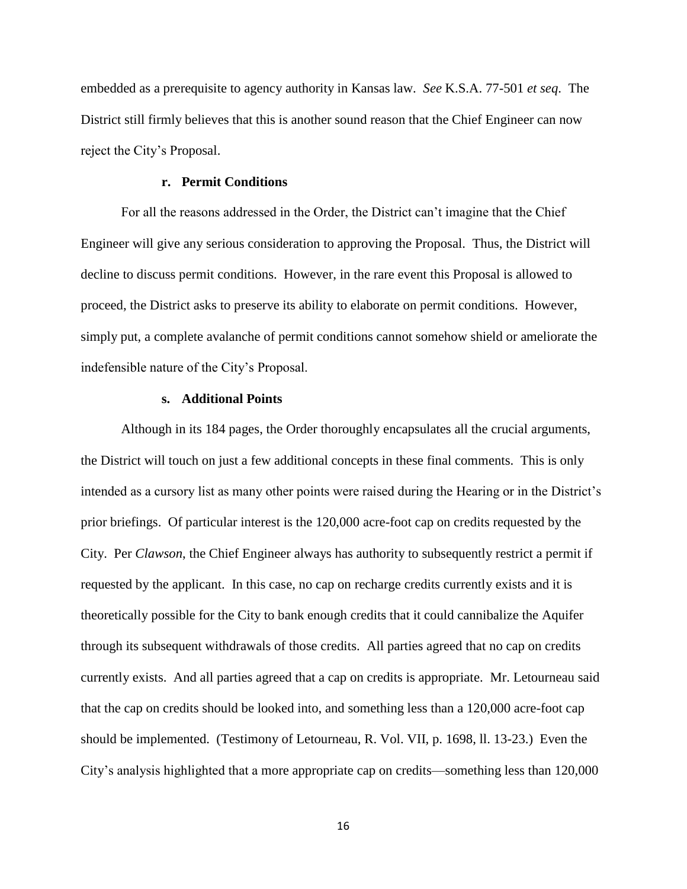embedded as a prerequisite to agency authority in Kansas law. *See* K.S.A. 77-501 *et seq*. The District still firmly believes that this is another sound reason that the Chief Engineer can now reject the City's Proposal.

# **r. Permit Conditions**

For all the reasons addressed in the Order, the District can't imagine that the Chief Engineer will give any serious consideration to approving the Proposal. Thus, the District will decline to discuss permit conditions. However, in the rare event this Proposal is allowed to proceed, the District asks to preserve its ability to elaborate on permit conditions. However, simply put, a complete avalanche of permit conditions cannot somehow shield or ameliorate the indefensible nature of the City's Proposal.

### **s. Additional Points**

Although in its 184 pages, the Order thoroughly encapsulates all the crucial arguments, the District will touch on just a few additional concepts in these final comments. This is only intended as a cursory list as many other points were raised during the Hearing or in the District's prior briefings. Of particular interest is the 120,000 acre-foot cap on credits requested by the City. Per *Clawson*, the Chief Engineer always has authority to subsequently restrict a permit if requested by the applicant. In this case, no cap on recharge credits currently exists and it is theoretically possible for the City to bank enough credits that it could cannibalize the Aquifer through its subsequent withdrawals of those credits. All parties agreed that no cap on credits currently exists. And all parties agreed that a cap on credits is appropriate. Mr. Letourneau said that the cap on credits should be looked into, and something less than a 120,000 acre-foot cap should be implemented. (Testimony of Letourneau, R. Vol. VII, p. 1698, ll. 13-23.) Even the City's analysis highlighted that a more appropriate cap on credits—something less than 120,000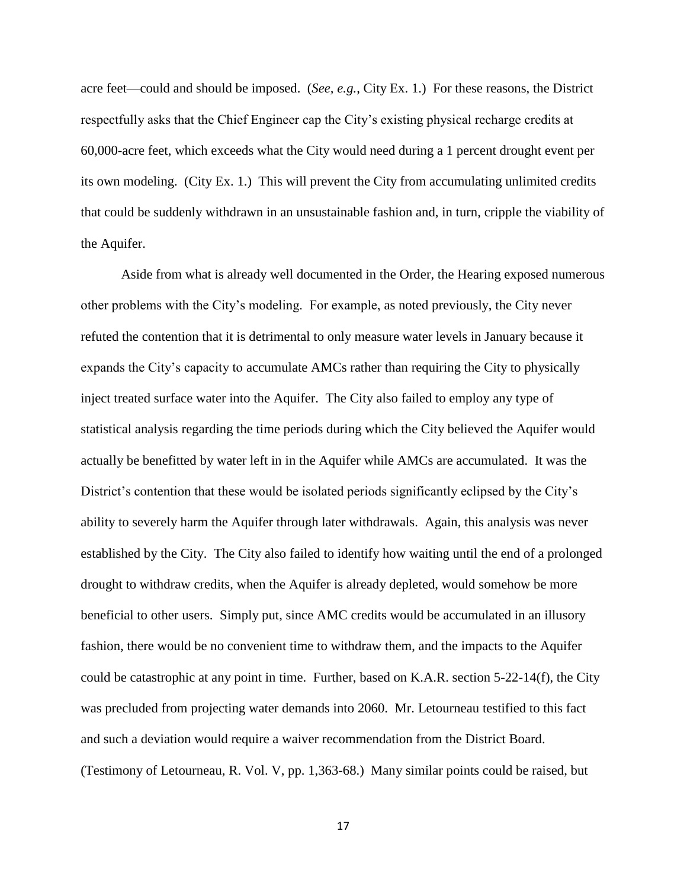acre feet—could and should be imposed. (*See, e.g.*, City Ex. 1.) For these reasons, the District respectfully asks that the Chief Engineer cap the City's existing physical recharge credits at 60,000-acre feet, which exceeds what the City would need during a 1 percent drought event per its own modeling. (City Ex. 1.) This will prevent the City from accumulating unlimited credits that could be suddenly withdrawn in an unsustainable fashion and, in turn, cripple the viability of the Aquifer.

Aside from what is already well documented in the Order, the Hearing exposed numerous other problems with the City's modeling. For example, as noted previously, the City never refuted the contention that it is detrimental to only measure water levels in January because it expands the City's capacity to accumulate AMCs rather than requiring the City to physically inject treated surface water into the Aquifer. The City also failed to employ any type of statistical analysis regarding the time periods during which the City believed the Aquifer would actually be benefitted by water left in in the Aquifer while AMCs are accumulated. It was the District's contention that these would be isolated periods significantly eclipsed by the City's ability to severely harm the Aquifer through later withdrawals. Again, this analysis was never established by the City. The City also failed to identify how waiting until the end of a prolonged drought to withdraw credits, when the Aquifer is already depleted, would somehow be more beneficial to other users. Simply put, since AMC credits would be accumulated in an illusory fashion, there would be no convenient time to withdraw them, and the impacts to the Aquifer could be catastrophic at any point in time. Further, based on K.A.R. section 5-22-14(f), the City was precluded from projecting water demands into 2060. Mr. Letourneau testified to this fact and such a deviation would require a waiver recommendation from the District Board. (Testimony of Letourneau, R. Vol. V, pp. 1,363-68.) Many similar points could be raised, but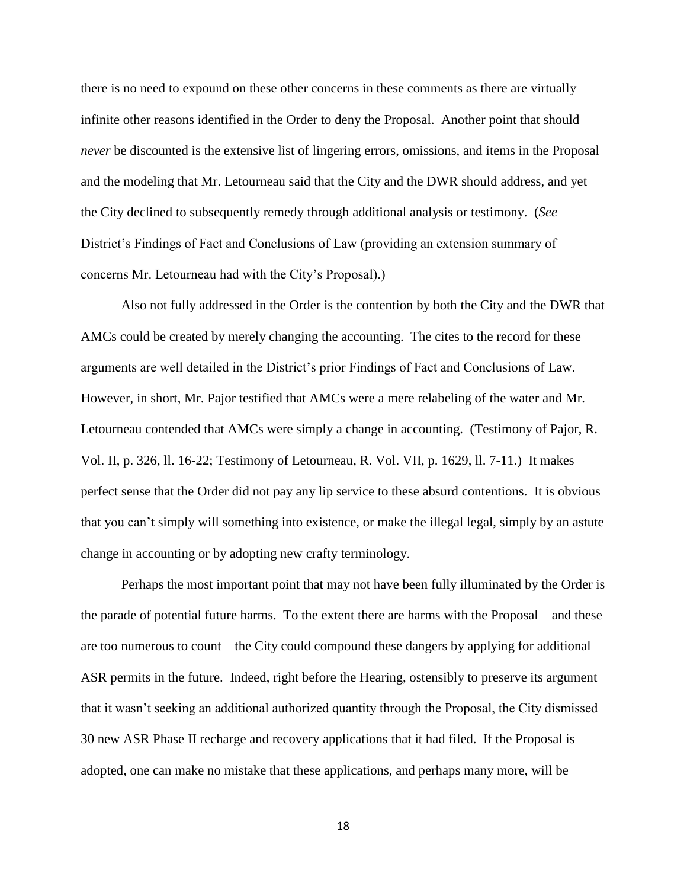there is no need to expound on these other concerns in these comments as there are virtually infinite other reasons identified in the Order to deny the Proposal. Another point that should *never* be discounted is the extensive list of lingering errors, omissions, and items in the Proposal and the modeling that Mr. Letourneau said that the City and the DWR should address, and yet the City declined to subsequently remedy through additional analysis or testimony. (*See*  District's Findings of Fact and Conclusions of Law (providing an extension summary of concerns Mr. Letourneau had with the City's Proposal).)

Also not fully addressed in the Order is the contention by both the City and the DWR that AMCs could be created by merely changing the accounting. The cites to the record for these arguments are well detailed in the District's prior Findings of Fact and Conclusions of Law. However, in short, Mr. Pajor testified that AMCs were a mere relabeling of the water and Mr. Letourneau contended that AMCs were simply a change in accounting. (Testimony of Pajor, R. Vol. II, p. 326, ll. 16-22; Testimony of Letourneau, R. Vol. VII, p. 1629, ll. 7-11.) It makes perfect sense that the Order did not pay any lip service to these absurd contentions. It is obvious that you can't simply will something into existence, or make the illegal legal, simply by an astute change in accounting or by adopting new crafty terminology.

Perhaps the most important point that may not have been fully illuminated by the Order is the parade of potential future harms. To the extent there are harms with the Proposal—and these are too numerous to count—the City could compound these dangers by applying for additional ASR permits in the future. Indeed, right before the Hearing, ostensibly to preserve its argument that it wasn't seeking an additional authorized quantity through the Proposal, the City dismissed 30 new ASR Phase II recharge and recovery applications that it had filed. If the Proposal is adopted, one can make no mistake that these applications, and perhaps many more, will be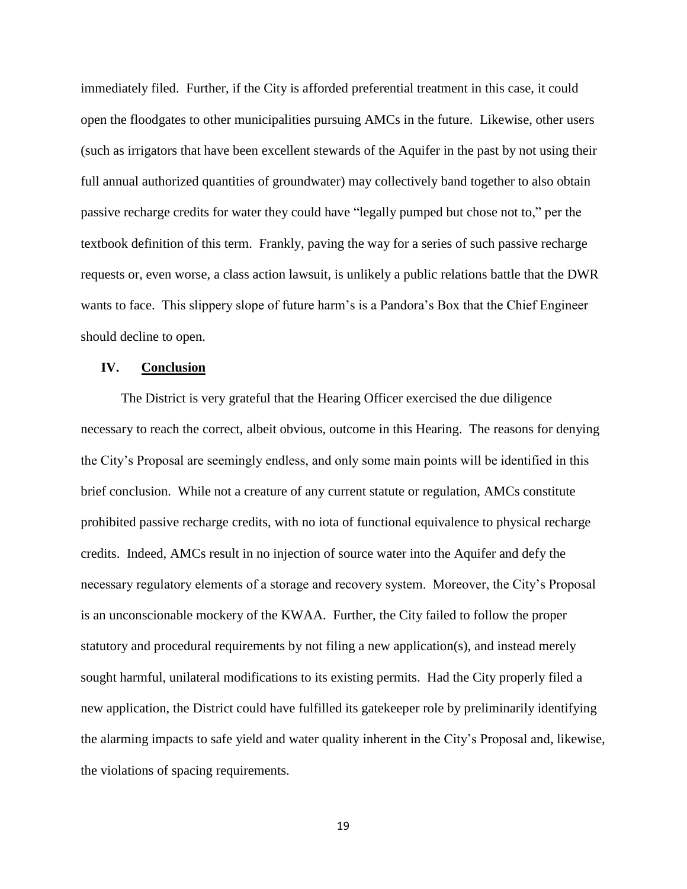immediately filed. Further, if the City is afforded preferential treatment in this case, it could open the floodgates to other municipalities pursuing AMCs in the future. Likewise, other users (such as irrigators that have been excellent stewards of the Aquifer in the past by not using their full annual authorized quantities of groundwater) may collectively band together to also obtain passive recharge credits for water they could have "legally pumped but chose not to," per the textbook definition of this term. Frankly, paving the way for a series of such passive recharge requests or, even worse, a class action lawsuit, is unlikely a public relations battle that the DWR wants to face. This slippery slope of future harm's is a Pandora's Box that the Chief Engineer should decline to open.

# **IV. Conclusion**

The District is very grateful that the Hearing Officer exercised the due diligence necessary to reach the correct, albeit obvious, outcome in this Hearing. The reasons for denying the City's Proposal are seemingly endless, and only some main points will be identified in this brief conclusion. While not a creature of any current statute or regulation, AMCs constitute prohibited passive recharge credits, with no iota of functional equivalence to physical recharge credits. Indeed, AMCs result in no injection of source water into the Aquifer and defy the necessary regulatory elements of a storage and recovery system. Moreover, the City's Proposal is an unconscionable mockery of the KWAA. Further, the City failed to follow the proper statutory and procedural requirements by not filing a new application(s), and instead merely sought harmful, unilateral modifications to its existing permits. Had the City properly filed a new application, the District could have fulfilled its gatekeeper role by preliminarily identifying the alarming impacts to safe yield and water quality inherent in the City's Proposal and, likewise, the violations of spacing requirements.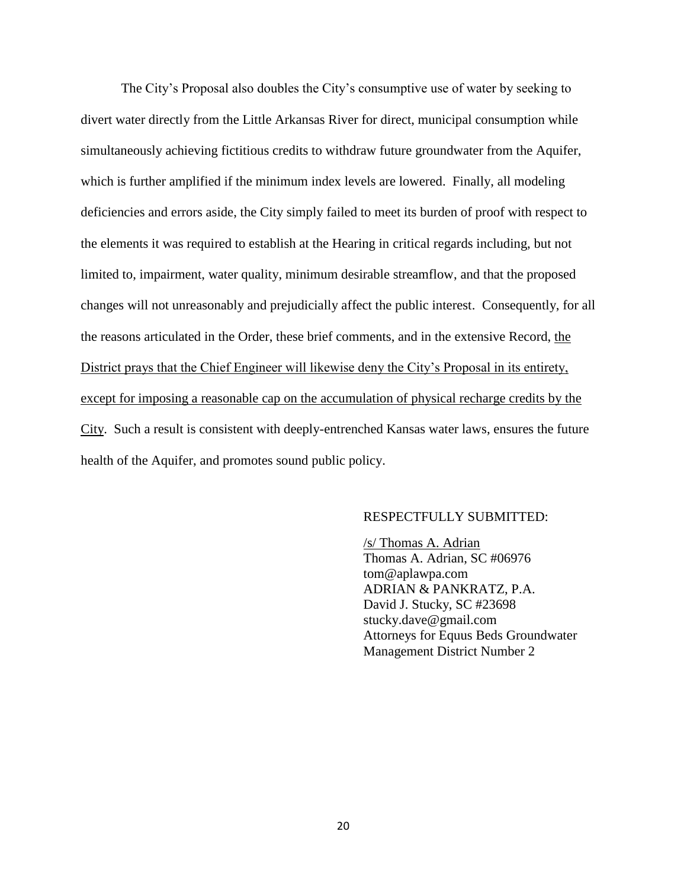The City's Proposal also doubles the City's consumptive use of water by seeking to divert water directly from the Little Arkansas River for direct, municipal consumption while simultaneously achieving fictitious credits to withdraw future groundwater from the Aquifer, which is further amplified if the minimum index levels are lowered. Finally, all modeling deficiencies and errors aside, the City simply failed to meet its burden of proof with respect to the elements it was required to establish at the Hearing in critical regards including, but not limited to, impairment, water quality, minimum desirable streamflow, and that the proposed changes will not unreasonably and prejudicially affect the public interest. Consequently, for all the reasons articulated in the Order, these brief comments, and in the extensive Record, the District prays that the Chief Engineer will likewise deny the City's Proposal in its entirety, except for imposing a reasonable cap on the accumulation of physical recharge credits by the City. Such a result is consistent with deeply-entrenched Kansas water laws, ensures the future health of the Aquifer, and promotes sound public policy.

### RESPECTFULLY SUBMITTED:

/s/ Thomas A. Adrian Thomas A. Adrian, SC #06976 tom@aplawpa.com ADRIAN & PANKRATZ, P.A. David J. Stucky, SC #23698 stucky.dave@gmail.com Attorneys for Equus Beds Groundwater Management District Number 2